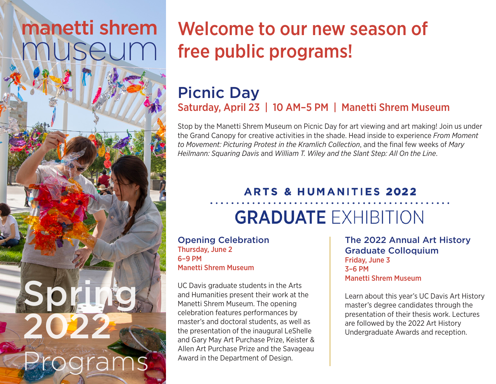# manetti shrem nuseum

Spring

rogram

2022

## Welcome to our new season of free public programs!

### [Picnic Day](https://manettishremmuseum.ucdavis.edu/events) Saturday, April 23 | 10 AM–5 PM | Manetti Shrem Museum

Stop by the Manetti Shrem Museum on Picnic Day for art viewing and art making! Join us under the Grand Canopy for creative activities in the shade. Head inside to experience *From Moment to Movement: Picturing Protest in the Kramlich Collection*, and the final few weeks of *Mary Heilmann: Squaring Davis* and *William T. Wiley and the Slant Step: All On the Line*.

#### **ARTS & HUMANITIES 2022**

## **GRADUATE EXHIBITION**

[Opening Celebration](https://manettishremmuseum.ucdavis.edu/events#gradshow) Thursday, June 2 6–9 PM Manetti Shrem Museum

UC Davis graduate students in the Arts and Humanities present their work at the Manetti Shrem Museum. The opening celebration features performances by master's and doctoral students, as well as the presentation of the inaugural LeShelle and Gary May Art Purchase Prize, Keister & Allen Art Purchase Prize and the Savageau Award in the Department of Design.

[The 2022 Annual Art History](https://manettishremmuseum.ucdavis.edu/events#gradcolloquium)  Graduate Colloquium Friday, June 3 3–6 PM Manetti Shrem Museum

Learn about this year's UC Davis Art History master's degree candidates through the presentation of their thesis work. Lectures are followed by the 2022 Art History Undergraduate Awards and reception.